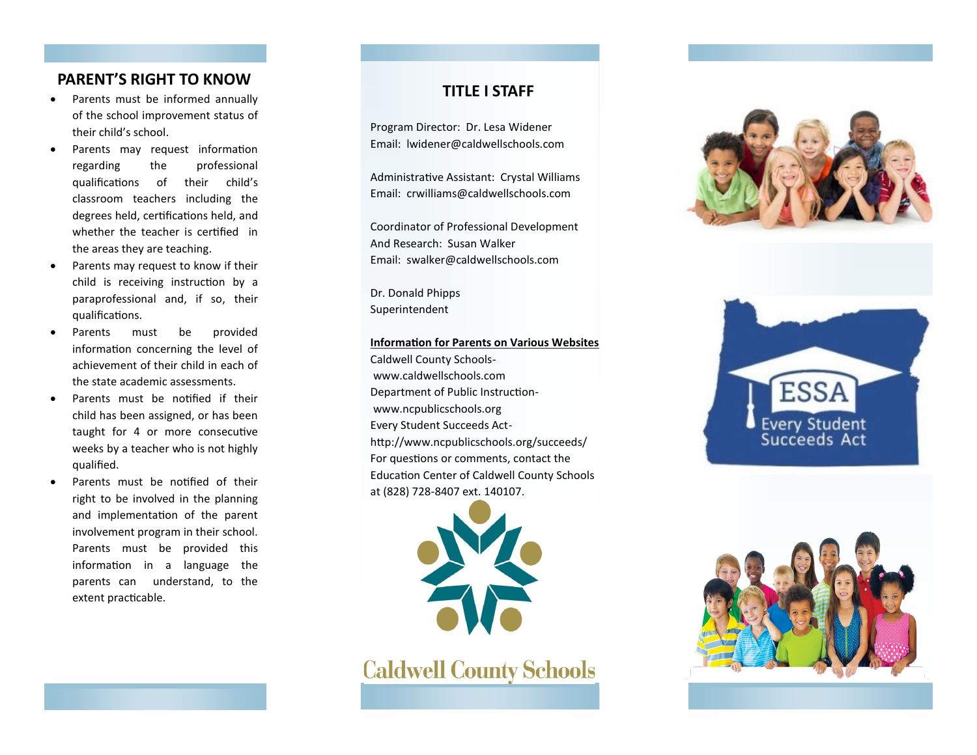# **PARENT'S RIGHT TO KNOW**

- Parents must be informed annually of the school improvement status of their child's school.
- Parents may request information regarding the professional qualifications of their child's classroom teachers including the degrees held, certifications held, and whether the teacher is certified in the areas they are teaching.
- Parents may request to know if their child is receiving instruction by a paraprofessional and, if so, their qualifications.
- Parents must be provided information concerning the level of achievement of their child in each of the state academic assessments.
- Parents must be notified if their child has been assigned, or has been taught for 4 or more consecutive weeks by a teacher who is not highly qualified.
- Parents must be notified of their right to be involved in the planning and implementation of the parent involvement program in their school. Parents must be provided this information in a language the parents can understand, to the extent practicable.

## **TITLE I STAFF**

Program Director: Dr. Lesa Widener Email: lwidener@caldwellschools.com

Administrative Assistant: Crystal Williams Email: crwilliams@caldwellschools.com

Coordinator of Professional Development And Research: Susan Walker Email: swalker@caldwellschools.com

Dr. Donald Phipps Superintendent

#### **Information for Parents on Various Websites**

Caldwell County Schoolswww.caldwellschools.com Department of Public Instructionwww.ncpublicschools.org Every Student Succeeds Acthttp://www.ncpublicschools.org/succeeds/ For questions or comments, contact the Education Center of Caldwell County Schools at (828) 728-8407 ext. 140107.



**Caldwell County Schools**